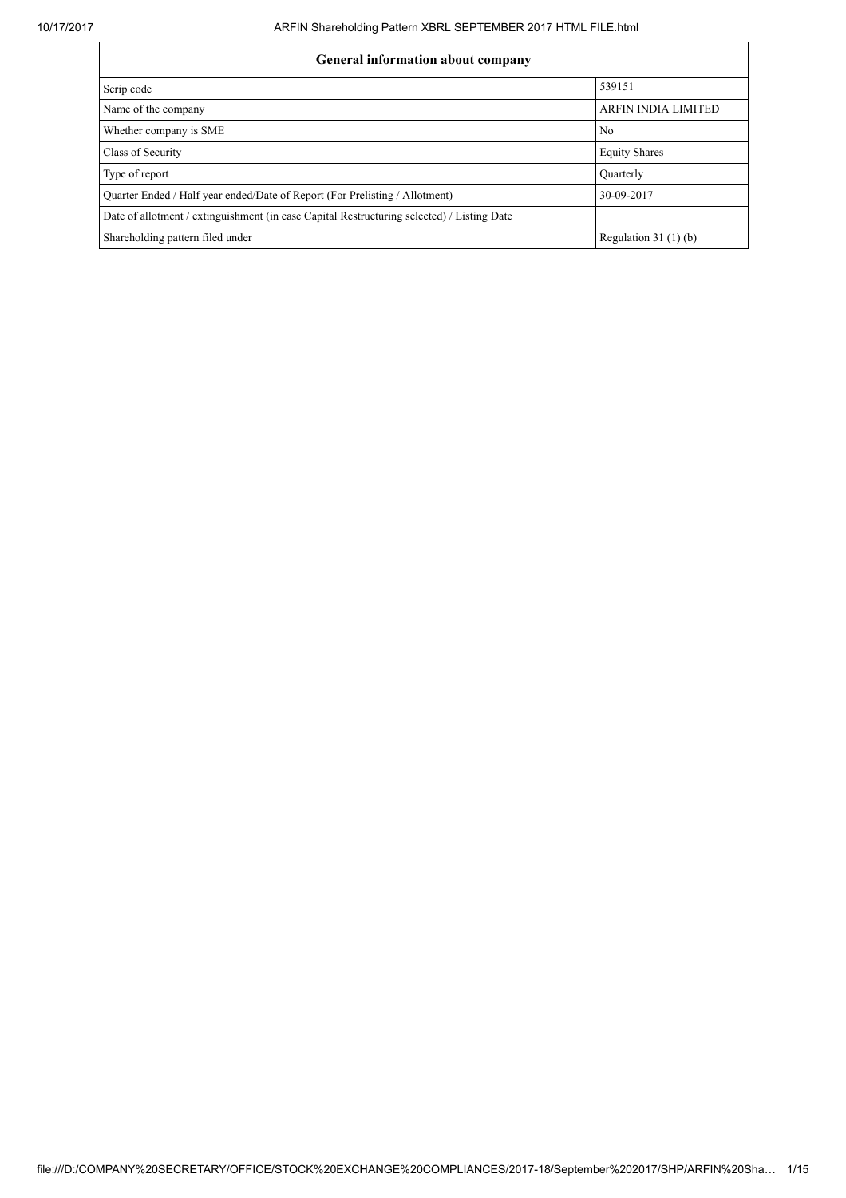| <b>General information about company</b>                                                   |                            |  |  |  |  |  |
|--------------------------------------------------------------------------------------------|----------------------------|--|--|--|--|--|
| Scrip code                                                                                 | 539151                     |  |  |  |  |  |
| Name of the company                                                                        | <b>ARFIN INDIA LIMITED</b> |  |  |  |  |  |
| Whether company is SME                                                                     | No                         |  |  |  |  |  |
| Class of Security                                                                          | <b>Equity Shares</b>       |  |  |  |  |  |
| Type of report                                                                             | Quarterly                  |  |  |  |  |  |
| Quarter Ended / Half year ended/Date of Report (For Prelisting / Allotment)                | 30-09-2017                 |  |  |  |  |  |
| Date of allotment / extinguishment (in case Capital Restructuring selected) / Listing Date |                            |  |  |  |  |  |
| Shareholding pattern filed under                                                           | Regulation $31(1)(b)$      |  |  |  |  |  |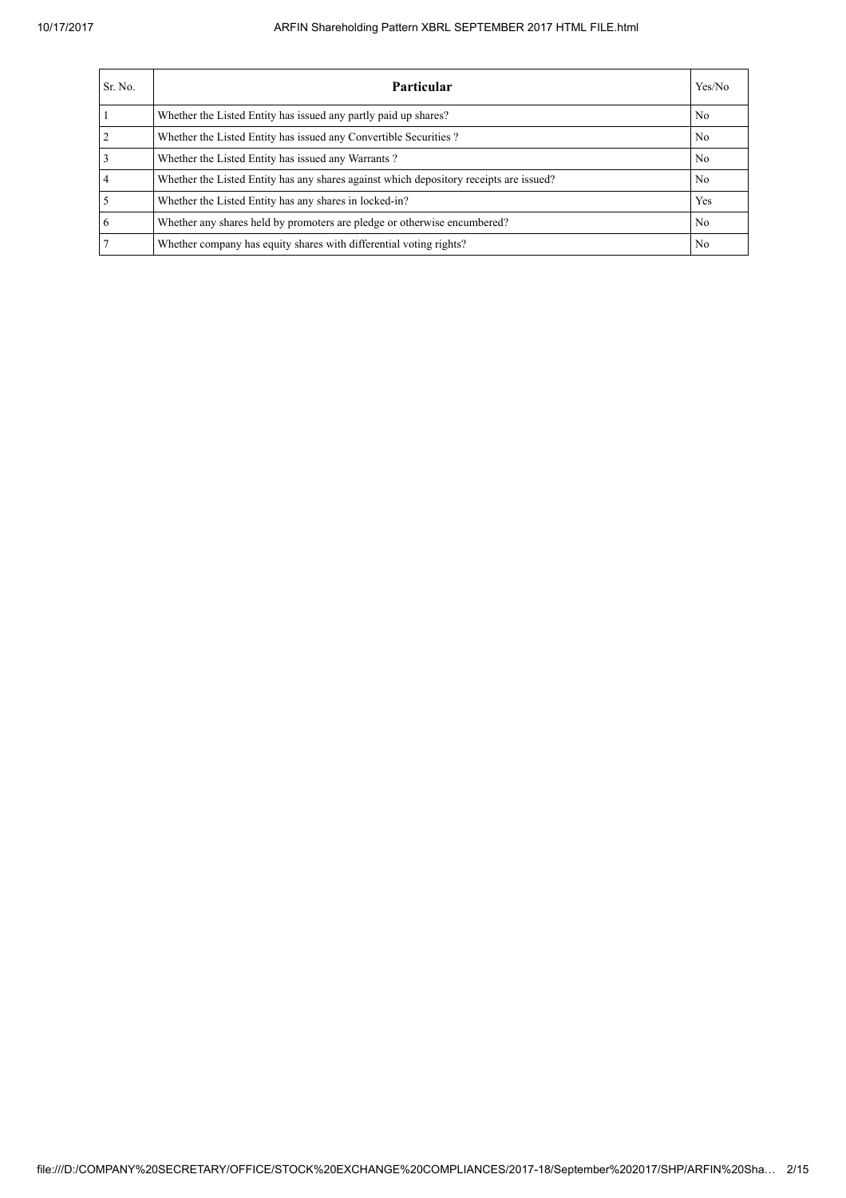| Sr. No.        | <b>Particular</b>                                                                      | Yes/No |
|----------------|----------------------------------------------------------------------------------------|--------|
|                | Whether the Listed Entity has issued any partly paid up shares?                        | No     |
| $\overline{2}$ | Whether the Listed Entity has issued any Convertible Securities?                       | No     |
|                | Whether the Listed Entity has issued any Warrants?                                     | No     |
|                | Whether the Listed Entity has any shares against which depository receipts are issued? | No     |
|                | Whether the Listed Entity has any shares in locked-in?                                 | Yes    |
| 6              | Whether any shares held by promoters are pledge or otherwise encumbered?               | No     |
|                | Whether company has equity shares with differential voting rights?                     | No     |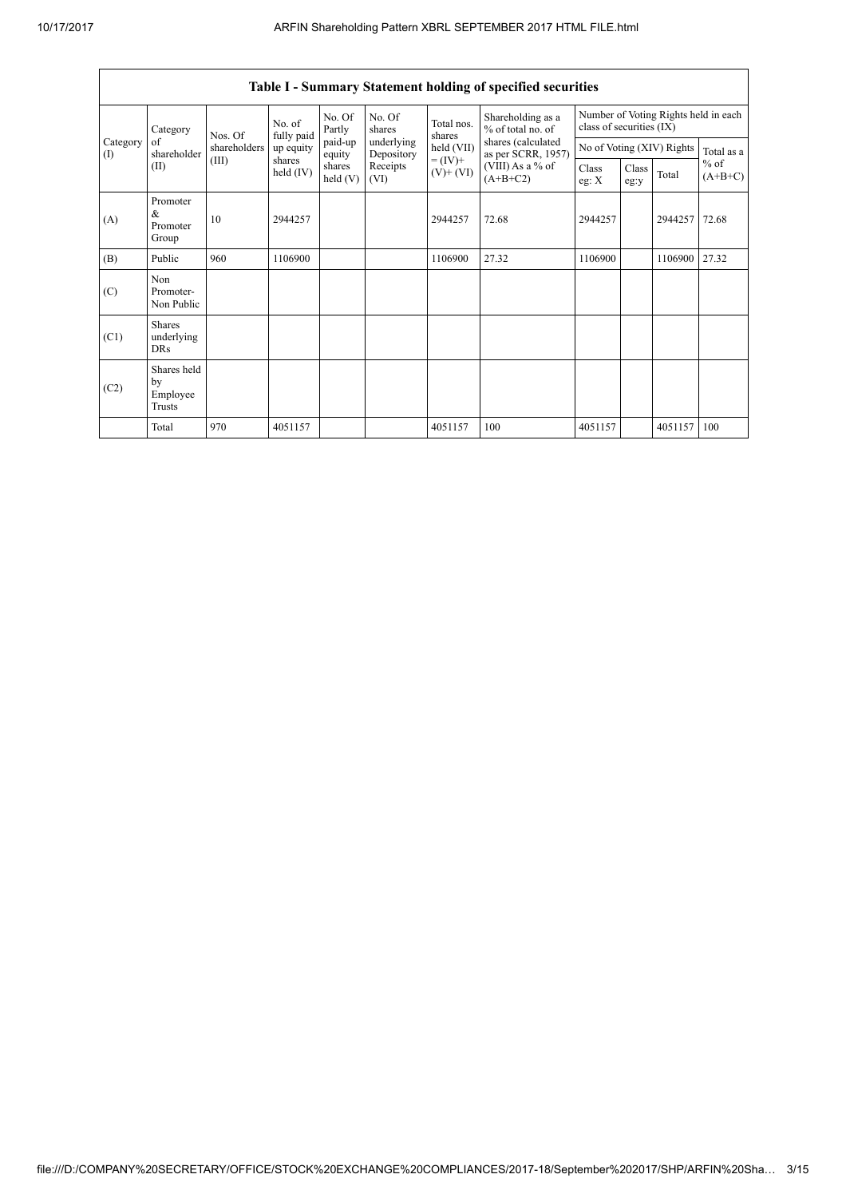|                                                |                                           |              |                                                            |                   |                                              |                                                                | Table I - Summary Statement holding of specified securities |                                                                  |               |                           |                     |
|------------------------------------------------|-------------------------------------------|--------------|------------------------------------------------------------|-------------------|----------------------------------------------|----------------------------------------------------------------|-------------------------------------------------------------|------------------------------------------------------------------|---------------|---------------------------|---------------------|
| Category<br>Category<br>of<br>$\rm(D)$<br>(II) |                                           | Nos. Of      | No. of<br>fully paid<br>up equity<br>shares<br>held $(IV)$ | No. Of<br>Partly  | No. Of<br>shares                             | Total nos.<br>shares<br>held (VII)<br>$= (IV) +$<br>$(V)+(VI)$ | Shareholding as a<br>% of total no. of                      | Number of Voting Rights held in each<br>class of securities (IX) |               |                           |                     |
|                                                | shareholder                               | shareholders |                                                            | paid-up<br>equity | underlying<br>Depository<br>Receipts<br>(VI) |                                                                | shares (calculated<br>as per SCRR, 1957)                    |                                                                  |               | No of Voting (XIV) Rights | Total as a          |
|                                                |                                           | (III)        |                                                            | shares<br>held(V) |                                              |                                                                | (VIII) As a % of<br>$(A+B+C2)$                              | Class<br>eg: $X$                                                 | Class<br>eg:y | Total                     | $%$ of<br>$(A+B+C)$ |
| (A)                                            | Promoter<br>&<br>Promoter<br>Group        | 10           | 2944257                                                    |                   |                                              | 2944257                                                        | 72.68                                                       | 2944257                                                          |               | 2944257                   | 72.68               |
| (B)                                            | Public                                    | 960          | 1106900                                                    |                   |                                              | 1106900                                                        | 27.32                                                       | 1106900                                                          |               | 1106900                   | 27.32               |
| (C)                                            | Non<br>Promoter-<br>Non Public            |              |                                                            |                   |                                              |                                                                |                                                             |                                                                  |               |                           |                     |
| (C1)                                           | <b>Shares</b><br>underlying<br><b>DRs</b> |              |                                                            |                   |                                              |                                                                |                                                             |                                                                  |               |                           |                     |
| (C2)                                           | Shares held<br>by<br>Employee<br>Trusts   |              |                                                            |                   |                                              |                                                                |                                                             |                                                                  |               |                           |                     |
|                                                | Total                                     | 970          | 4051157                                                    |                   |                                              | 4051157                                                        | 100                                                         | 4051157                                                          |               | 4051157                   | 100                 |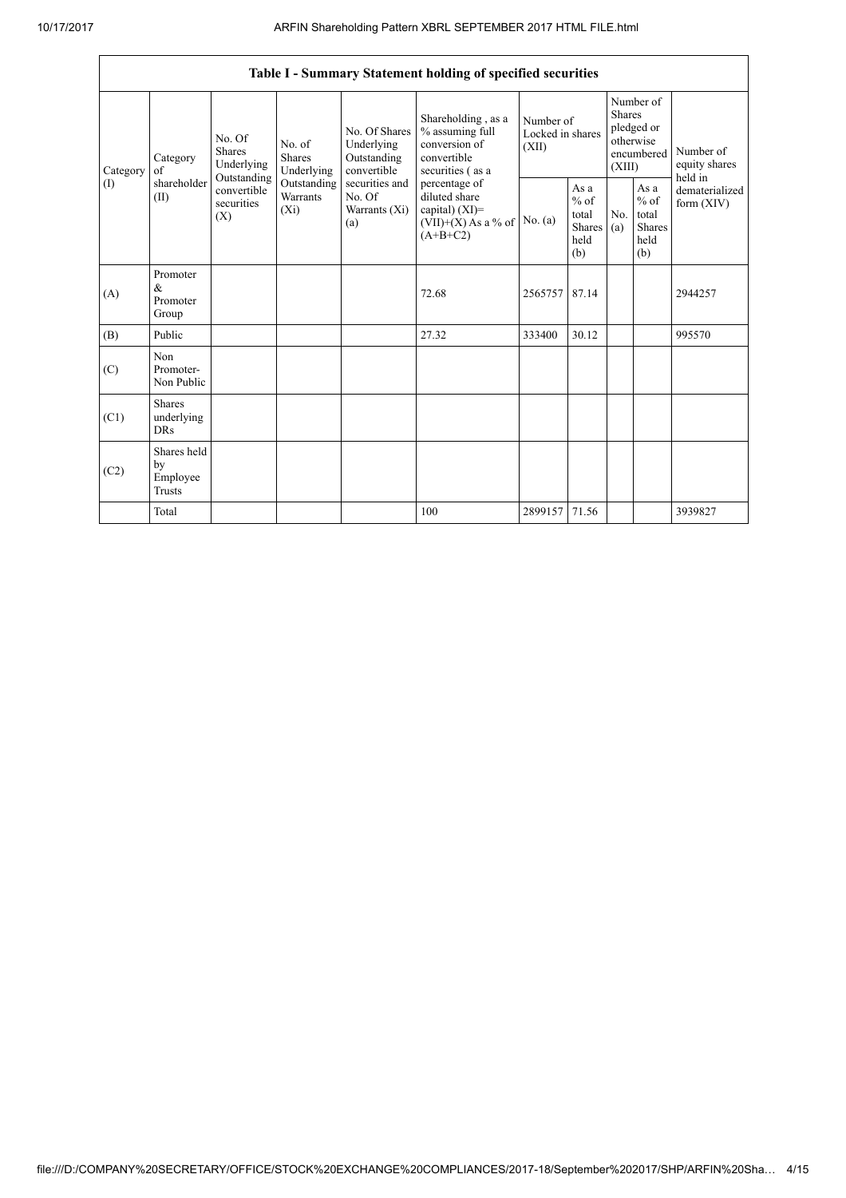|                 |                                                                                 |                           |                                                                                    |                                                                                                               | Table I - Summary Statement holding of specified securities                                                                                                                             |                                        |                                                  |                                                                               |                                                         |                                           |
|-----------------|---------------------------------------------------------------------------------|---------------------------|------------------------------------------------------------------------------------|---------------------------------------------------------------------------------------------------------------|-----------------------------------------------------------------------------------------------------------------------------------------------------------------------------------------|----------------------------------------|--------------------------------------------------|-------------------------------------------------------------------------------|---------------------------------------------------------|-------------------------------------------|
| Category<br>(1) | No. Of<br>Shares<br>Category<br>of<br>Outstanding<br>shareholder<br>(II)<br>(X) | Underlying                | No. of<br><b>Shares</b><br>Underlying<br>Outstanding<br><b>Warrants</b><br>$(X_i)$ | No. Of Shares<br>Underlying<br>Outstanding<br>convertible<br>securities and<br>No. Of<br>Warrants (Xi)<br>(a) | Shareholding, as a<br>% assuming full<br>conversion of<br>convertible<br>securities (as a<br>percentage of<br>diluted share<br>capital) $(XI)$ =<br>$(VII)+(X)$ As a % of<br>$(A+B+C2)$ | Number of<br>Locked in shares<br>(XII) |                                                  | Number of<br><b>Shares</b><br>pledged or<br>otherwise<br>encumbered<br>(XIII) |                                                         | Number of<br>equity shares                |
|                 |                                                                                 | convertible<br>securities |                                                                                    |                                                                                                               |                                                                                                                                                                                         | No. $(a)$                              | As a<br>$%$ of<br>total<br>Shares<br>held<br>(b) | No.<br>(a)                                                                    | As a<br>$%$ of<br>total<br><b>Shares</b><br>held<br>(b) | held in<br>dematerialized<br>form $(XIV)$ |
| (A)             | Promoter<br>$\&$<br>Promoter<br>Group                                           |                           |                                                                                    |                                                                                                               | 72.68                                                                                                                                                                                   | 2565757                                | 87.14                                            |                                                                               |                                                         | 2944257                                   |
| (B)             | Public                                                                          |                           |                                                                                    |                                                                                                               | 27.32                                                                                                                                                                                   | 333400                                 | 30.12                                            |                                                                               |                                                         | 995570                                    |
| (C)             | Non<br>Promoter-<br>Non Public                                                  |                           |                                                                                    |                                                                                                               |                                                                                                                                                                                         |                                        |                                                  |                                                                               |                                                         |                                           |
| (C1)            | <b>Shares</b><br>underlying<br><b>DRs</b>                                       |                           |                                                                                    |                                                                                                               |                                                                                                                                                                                         |                                        |                                                  |                                                                               |                                                         |                                           |
| (C2)            | Shares held<br>by<br>Employee<br><b>Trusts</b>                                  |                           |                                                                                    |                                                                                                               |                                                                                                                                                                                         |                                        |                                                  |                                                                               |                                                         |                                           |
|                 | Total                                                                           |                           |                                                                                    |                                                                                                               | 100                                                                                                                                                                                     | 2899157                                | 71.56                                            |                                                                               |                                                         | 3939827                                   |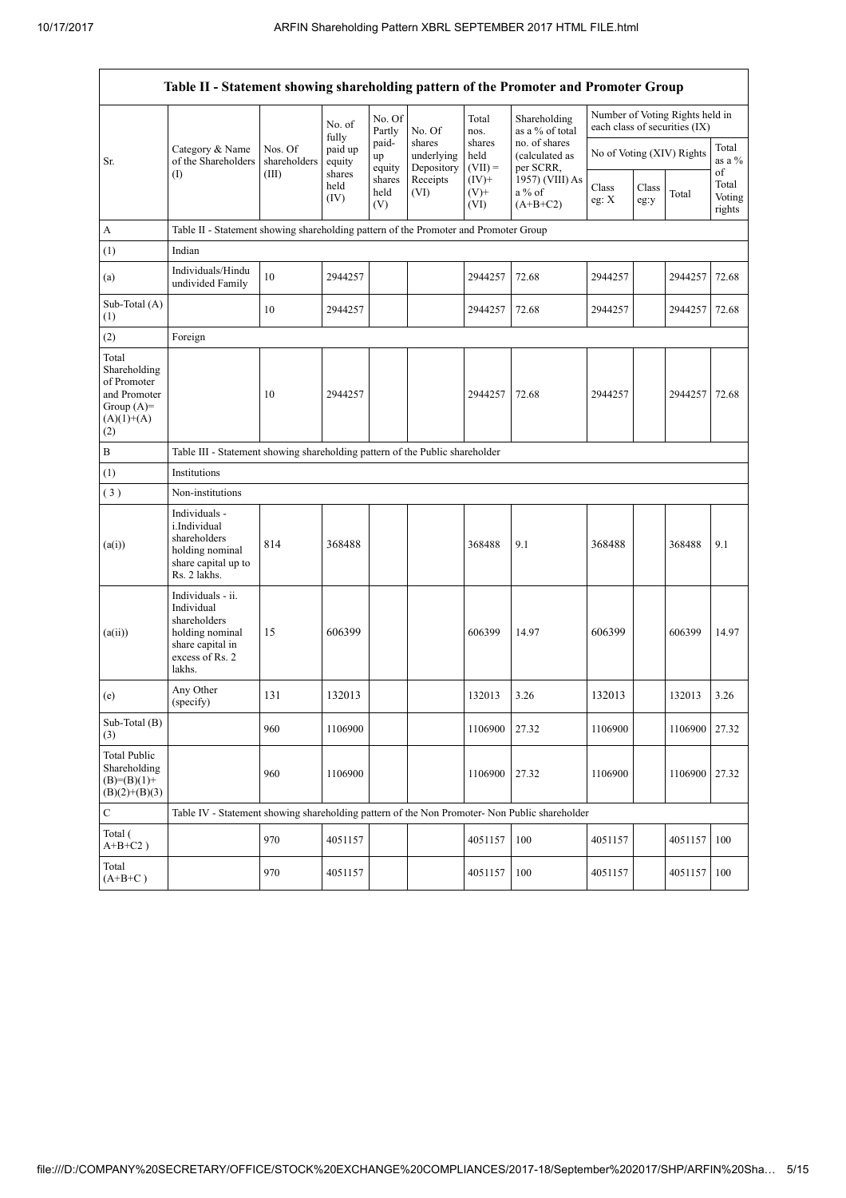|                                                                                             | Table II - Statement showing shareholding pattern of the Promoter and Promoter Group                                |                                                                                      |                        |                       |                                    |                             |                                              |                           |               |                                                                  |                           |
|---------------------------------------------------------------------------------------------|---------------------------------------------------------------------------------------------------------------------|--------------------------------------------------------------------------------------|------------------------|-----------------------|------------------------------------|-----------------------------|----------------------------------------------|---------------------------|---------------|------------------------------------------------------------------|---------------------------|
|                                                                                             |                                                                                                                     |                                                                                      | No. of<br>fully        | No. Of<br>Partly      | No. Of                             | Total<br>nos.               | Shareholding<br>as a % of total              |                           |               | Number of Voting Rights held in<br>each class of securities (IX) |                           |
| Sr.                                                                                         | Category & Name<br>of the Shareholders                                                                              | Nos. Of<br>shareholders                                                              | paid up<br>equity      | paid-<br>up<br>equity | shares<br>underlying<br>Depository | shares<br>held<br>$(VII) =$ | no. of shares<br>(calculated as<br>per SCRR, | No of Voting (XIV) Rights |               |                                                                  | Total<br>as a %<br>of     |
|                                                                                             | (1)                                                                                                                 | (III)                                                                                | shares<br>held<br>(IV) | shares<br>held<br>(V) | Receipts<br>(VI)                   | $(IV)$ +<br>$(V)$ +<br>(VI) | 1957) (VIII) As<br>a% of<br>$(A+B+C2)$       | Class<br>eg: X            | Class<br>eg:y | Total                                                            | Total<br>Voting<br>rights |
| А                                                                                           |                                                                                                                     | Table II - Statement showing shareholding pattern of the Promoter and Promoter Group |                        |                       |                                    |                             |                                              |                           |               |                                                                  |                           |
| (1)                                                                                         | Indian                                                                                                              |                                                                                      |                        |                       |                                    |                             |                                              |                           |               |                                                                  |                           |
| (a)                                                                                         | Individuals/Hindu<br>undivided Family                                                                               | 10                                                                                   | 2944257                |                       |                                    | 2944257                     | 72.68                                        | 2944257                   |               | 2944257                                                          | 72.68                     |
| Sub-Total (A)<br>(1)                                                                        |                                                                                                                     | 10                                                                                   | 2944257                |                       |                                    | 2944257                     | 72.68                                        | 2944257                   |               | 2944257 72.68                                                    |                           |
| (2)                                                                                         | Foreign                                                                                                             |                                                                                      |                        |                       |                                    |                             |                                              |                           |               |                                                                  |                           |
| Total<br>Shareholding<br>of Promoter<br>and Promoter<br>Group $(A)=$<br>$(A)(1)+(A)$<br>(2) |                                                                                                                     | 10                                                                                   | 2944257                |                       |                                    | 2944257                     | 72.68                                        | 2944257                   |               | 2944257                                                          | 72.68                     |
| В                                                                                           | Table III - Statement showing shareholding pattern of the Public shareholder                                        |                                                                                      |                        |                       |                                    |                             |                                              |                           |               |                                                                  |                           |
| (1)                                                                                         | Institutions                                                                                                        |                                                                                      |                        |                       |                                    |                             |                                              |                           |               |                                                                  |                           |
| (3)                                                                                         | Non-institutions                                                                                                    |                                                                                      |                        |                       |                                    |                             |                                              |                           |               |                                                                  |                           |
| (a(i))                                                                                      | Individuals -<br>i.Individual<br>shareholders<br>holding nominal<br>share capital up to<br>Rs. 2 lakhs.             | 814                                                                                  | 368488                 |                       |                                    | 368488                      | 9.1                                          | 368488                    |               | 368488                                                           | 9.1                       |
| (a(ii))                                                                                     | Individuals - ii.<br>Individual<br>shareholders<br>holding nominal<br>share capital in<br>excess of Rs. 2<br>lakhs. | 15                                                                                   | 606399                 |                       |                                    | 606399                      | 14.97                                        | 606399                    |               | 606399                                                           | 14.97                     |
| (e)                                                                                         | Any Other<br>(specify)                                                                                              | 131                                                                                  | 132013                 |                       |                                    | 132013                      | 3.26                                         | 132013                    |               | 132013                                                           | 3.26                      |
| Sub-Total (B)<br>(3)                                                                        |                                                                                                                     | 960                                                                                  | 1106900                |                       |                                    | 1106900                     | 27.32                                        | 1106900                   |               | 1106900 27.32                                                    |                           |
| <b>Total Public</b><br>Shareholding<br>$(B)= (B)(1) +$<br>$(B)(2)+(B)(3)$                   |                                                                                                                     | 960                                                                                  | 1106900                |                       |                                    | 1106900                     | 27.32                                        | 1106900                   |               | 1106900                                                          | 27.32                     |
| C                                                                                           | Table IV - Statement showing shareholding pattern of the Non Promoter- Non Public shareholder                       |                                                                                      |                        |                       |                                    |                             |                                              |                           |               |                                                                  |                           |
| Total (<br>$A+B+C2$ )                                                                       |                                                                                                                     | 970                                                                                  | 4051157                |                       |                                    | 4051157                     | 100                                          | 4051157                   |               | 4051157                                                          | 100                       |
| Total<br>$(A+B+C)$                                                                          |                                                                                                                     | 970                                                                                  | 4051157                |                       |                                    | 4051157                     | 100                                          | 4051157                   |               | 4051157                                                          | 100                       |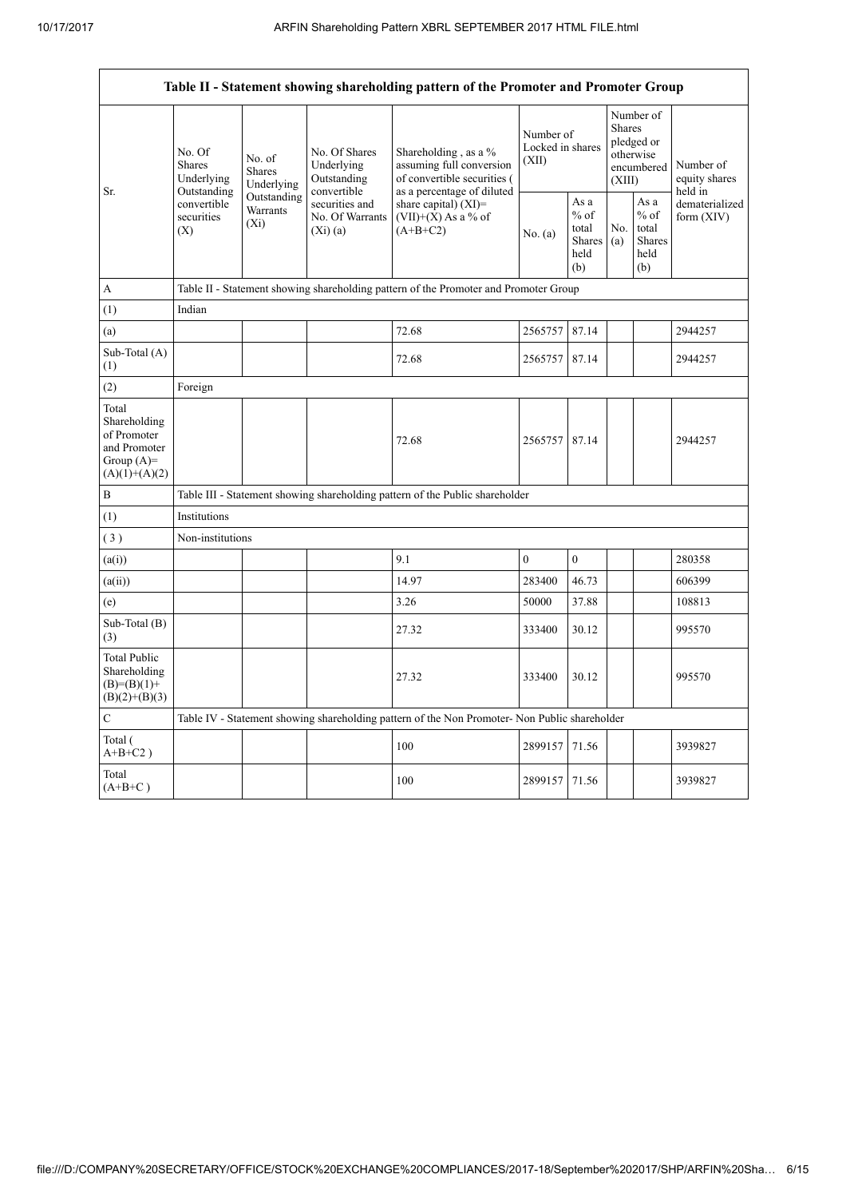|                                                                                         | Table II - Statement showing shareholding pattern of the Promoter and Promoter Group     |                                                                                       |                                                           |                                                                                                               |                                        |                                                         |                                                                               |                                                         |                                       |  |
|-----------------------------------------------------------------------------------------|------------------------------------------------------------------------------------------|---------------------------------------------------------------------------------------|-----------------------------------------------------------|---------------------------------------------------------------------------------------------------------------|----------------------------------------|---------------------------------------------------------|-------------------------------------------------------------------------------|---------------------------------------------------------|---------------------------------------|--|
| Sr.                                                                                     | No. Of<br><b>Shares</b><br>Underlying<br>Outstanding<br>convertible<br>securities<br>(X) | No. of<br><b>Shares</b><br>Underlying                                                 | No. Of Shares<br>Underlying<br>Outstanding<br>convertible | Shareholding, as a %<br>assuming full conversion<br>of convertible securities (<br>as a percentage of diluted | Number of<br>Locked in shares<br>(XII) |                                                         | Number of<br><b>Shares</b><br>pledged or<br>otherwise<br>encumbered<br>(XIII) |                                                         | Number of<br>equity shares<br>held in |  |
|                                                                                         |                                                                                          | Outstanding<br>securities and<br>Warrants<br>No. Of Warrants<br>$(X_i)$<br>$(Xi)$ (a) |                                                           | share capital) $(XI)$ =<br>$(VII)+(X)$ As a % of<br>$(A+B+C2)$                                                | No. (a)                                | As a<br>$%$ of<br>total<br><b>Shares</b><br>held<br>(b) | No.<br>(a)                                                                    | As a<br>$%$ of<br>total<br><b>Shares</b><br>held<br>(b) | dematerialized<br>form $(XIV)$        |  |
| A                                                                                       |                                                                                          | Table II - Statement showing shareholding pattern of the Promoter and Promoter Group  |                                                           |                                                                                                               |                                        |                                                         |                                                                               |                                                         |                                       |  |
| (1)                                                                                     | Indian                                                                                   |                                                                                       |                                                           |                                                                                                               |                                        |                                                         |                                                                               |                                                         |                                       |  |
| (a)                                                                                     |                                                                                          |                                                                                       |                                                           | 72.68                                                                                                         | 2565757                                | 87.14                                                   |                                                                               |                                                         | 2944257                               |  |
| Sub-Total (A)<br>(1)                                                                    |                                                                                          |                                                                                       |                                                           | 72.68                                                                                                         | 2565757                                | 87.14                                                   |                                                                               |                                                         | 2944257                               |  |
| (2)                                                                                     | Foreign                                                                                  |                                                                                       |                                                           |                                                                                                               |                                        |                                                         |                                                                               |                                                         |                                       |  |
| Total<br>Shareholding<br>of Promoter<br>and Promoter<br>Group $(A)=$<br>$(A)(1)+(A)(2)$ |                                                                                          |                                                                                       |                                                           | 72.68                                                                                                         | 2565757                                | 87.14                                                   |                                                                               |                                                         | 2944257                               |  |
| B                                                                                       |                                                                                          |                                                                                       |                                                           | Table III - Statement showing shareholding pattern of the Public shareholder                                  |                                        |                                                         |                                                                               |                                                         |                                       |  |
| (1)                                                                                     | Institutions                                                                             |                                                                                       |                                                           |                                                                                                               |                                        |                                                         |                                                                               |                                                         |                                       |  |
| (3)                                                                                     | Non-institutions                                                                         |                                                                                       |                                                           |                                                                                                               |                                        |                                                         |                                                                               |                                                         |                                       |  |
| (a(i))                                                                                  |                                                                                          |                                                                                       |                                                           | 9.1                                                                                                           | $\mathbf{0}$                           | $\boldsymbol{0}$                                        |                                                                               |                                                         | 280358                                |  |
| (a(ii))                                                                                 |                                                                                          |                                                                                       |                                                           | 14.97                                                                                                         | 283400                                 | 46.73                                                   |                                                                               |                                                         | 606399                                |  |
| (e)                                                                                     |                                                                                          |                                                                                       |                                                           | 3.26                                                                                                          | 50000                                  | 37.88                                                   |                                                                               |                                                         | 108813                                |  |
| Sub-Total (B)<br>(3)                                                                    |                                                                                          |                                                                                       |                                                           | 27.32                                                                                                         | 333400                                 | 30.12                                                   |                                                                               |                                                         | 995570                                |  |
| <b>Total Public</b><br>Shareholding<br>$(B)= (B)(1) +$<br>$(B)(2)+(B)(3)$               |                                                                                          |                                                                                       |                                                           | 27.32                                                                                                         | 333400                                 | 30.12                                                   |                                                                               |                                                         | 995570                                |  |
| $\overline{C}$                                                                          |                                                                                          |                                                                                       |                                                           | Table IV - Statement showing shareholding pattern of the Non Promoter- Non Public shareholder                 |                                        |                                                         |                                                                               |                                                         |                                       |  |
| Total (<br>$A+B+C2$ )                                                                   |                                                                                          |                                                                                       |                                                           | 100                                                                                                           | 2899157                                | 71.56                                                   |                                                                               |                                                         | 3939827                               |  |
| Total<br>$(A+B+C)$                                                                      |                                                                                          |                                                                                       |                                                           | 100                                                                                                           | 2899157                                | 71.56                                                   |                                                                               |                                                         | 3939827                               |  |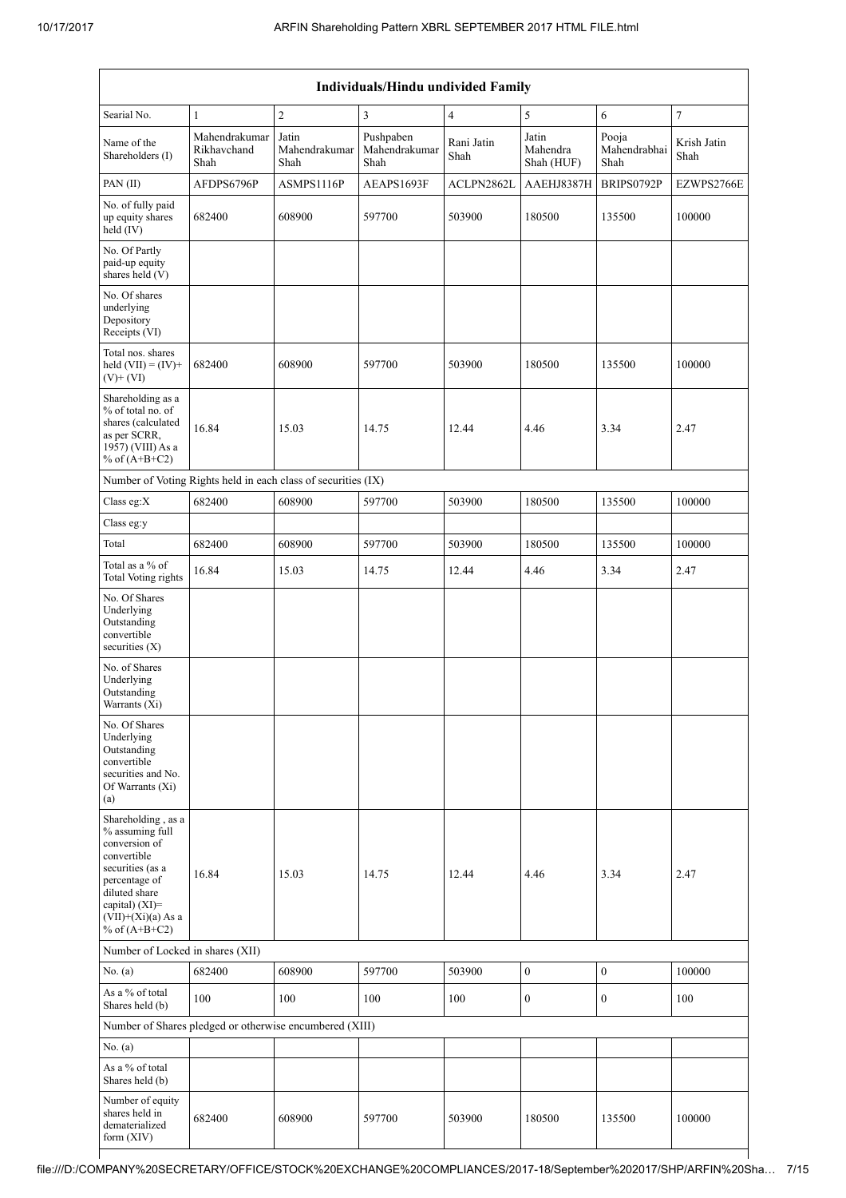|                                                                                                                                                                                          |                                      |                                | Individuals/Hindu undivided Family |                    |                                 |                               |                     |
|------------------------------------------------------------------------------------------------------------------------------------------------------------------------------------------|--------------------------------------|--------------------------------|------------------------------------|--------------------|---------------------------------|-------------------------------|---------------------|
| Searial No.                                                                                                                                                                              | $\mathbf{1}$                         | $\boldsymbol{2}$               | $\mathfrak z$                      | $\overline{4}$     | 5                               | 6                             | $\boldsymbol{7}$    |
| Name of the<br>Shareholders (I)                                                                                                                                                          | Mahendrakumar<br>Rikhavchand<br>Shah | Jatin<br>Mahendrakumar<br>Shah | Pushpaben<br>Mahendrakumar<br>Shah | Rani Jatin<br>Shah | Jatin<br>Mahendra<br>Shah (HUF) | Pooja<br>Mahendrabhai<br>Shah | Krish Jatin<br>Shah |
| PAN(II)                                                                                                                                                                                  | AFDPS6796P                           | ASMPS1116P                     | AEAPS1693F                         | ACLPN2862L         | AAEHJ8387H                      | BRIPS0792P                    | EZWPS2766E          |
| No. of fully paid<br>up equity shares<br>held (IV)                                                                                                                                       | 682400                               | 608900                         | 597700                             | 503900             | 180500                          | 135500                        | 100000              |
| No. Of Partly<br>paid-up equity<br>shares held (V)                                                                                                                                       |                                      |                                |                                    |                    |                                 |                               |                     |
| No. Of shares<br>underlying<br>Depository<br>Receipts (VI)                                                                                                                               |                                      |                                |                                    |                    |                                 |                               |                     |
| Total nos. shares<br>held $(VII) = (IV) +$<br>$(V)$ + $(VI)$                                                                                                                             | 682400                               | 608900                         | 597700                             | 503900             | 180500                          | 135500                        | 100000              |
| Shareholding as a<br>% of total no. of<br>shares (calculated<br>as per SCRR,<br>1957) (VIII) As a<br>% of $(A+B+C2)$                                                                     | 16.84                                | 15.03                          | 14.75                              | 12.44              | 4.46                            | 3.34                          | 2.47                |
| Number of Voting Rights held in each class of securities (IX)                                                                                                                            |                                      |                                |                                    |                    |                                 |                               |                     |
| Class eg: $X$                                                                                                                                                                            | 682400                               | 608900                         | 597700                             | 503900             | 180500                          | 135500                        | 100000              |
| Class eg:y                                                                                                                                                                               |                                      |                                |                                    |                    |                                 |                               |                     |
| Total                                                                                                                                                                                    | 682400                               | 608900                         | 597700                             | 503900             | 180500                          | 135500                        | 100000              |
| Total as a % of<br><b>Total Voting rights</b>                                                                                                                                            | 16.84                                | 15.03                          | 14.75                              | 12.44              | 4.46                            | 3.34                          | 2.47                |
| No. Of Shares<br>Underlying<br>Outstanding<br>convertible<br>securities $(X)$                                                                                                            |                                      |                                |                                    |                    |                                 |                               |                     |
| No. of Shares<br>Underlying<br>Outstanding<br>Warrants (Xi)                                                                                                                              |                                      |                                |                                    |                    |                                 |                               |                     |
| No. Of Shares<br>Underlying<br>Outstanding<br>convertible<br>securities and No.<br>Of Warrants (Xi)<br>(a)                                                                               |                                      |                                |                                    |                    |                                 |                               |                     |
| Shareholding, as a<br>% assuming full<br>conversion of<br>convertible<br>securities (as a<br>percentage of<br>diluted share<br>capital) (XI)=<br>$(VII)+(Xi)(a)$ As a<br>% of $(A+B+C2)$ | 16.84                                | 15.03                          | 14.75                              | 12.44              | 4.46                            | 3.34                          | 2.47                |
| Number of Locked in shares (XII)                                                                                                                                                         |                                      |                                |                                    |                    |                                 |                               |                     |
| No. (a)                                                                                                                                                                                  | 682400                               | 608900                         | 597700                             | 503900             | $\boldsymbol{0}$                | $\boldsymbol{0}$              | 100000              |
| As a % of total<br>Shares held (b)                                                                                                                                                       | 100                                  | 100                            | 100                                | 100                | $\boldsymbol{0}$                | $\boldsymbol{0}$              | 100                 |
| Number of Shares pledged or otherwise encumbered (XIII)                                                                                                                                  |                                      |                                |                                    |                    |                                 |                               |                     |
| No. (a)                                                                                                                                                                                  |                                      |                                |                                    |                    |                                 |                               |                     |
| As a % of total<br>Shares held (b)                                                                                                                                                       |                                      |                                |                                    |                    |                                 |                               |                     |
| Number of equity<br>shares held in<br>dematerialized<br>form (XIV)                                                                                                                       | 682400                               | 608900                         | 597700                             | 503900             | 180500                          | 135500                        | 100000              |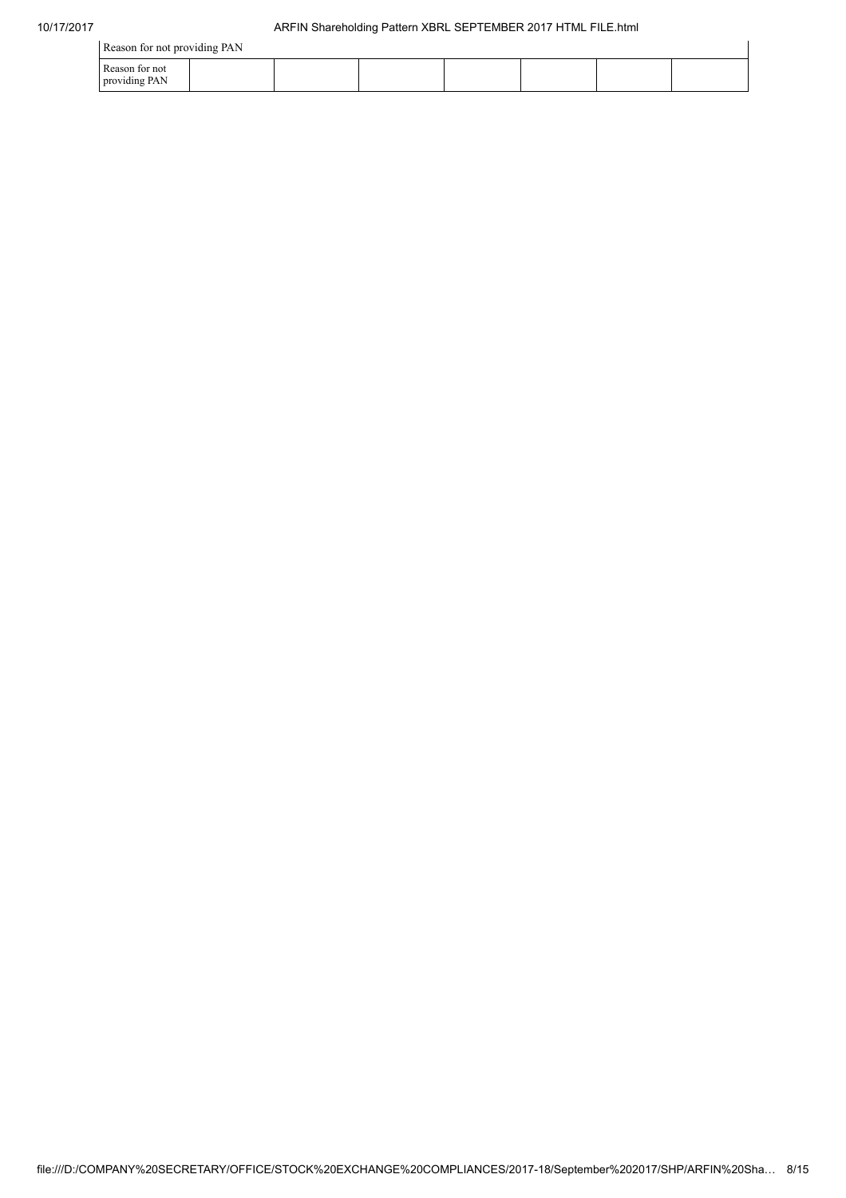| Reason for not providing PAN    |  |  |  |  |  |  |  |
|---------------------------------|--|--|--|--|--|--|--|
| Reason for not<br>providing PAN |  |  |  |  |  |  |  |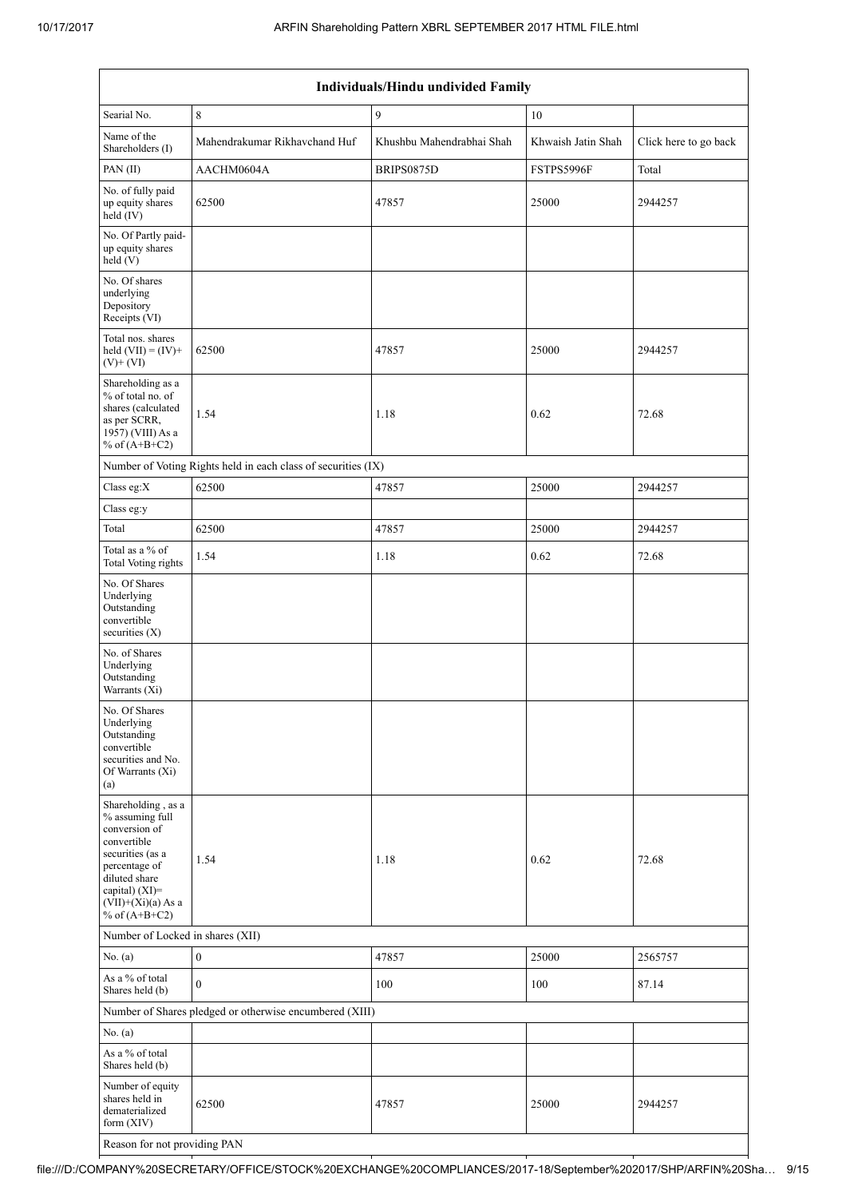| Individuals/Hindu undivided Family                                                                                                                                                       |                                                               |                           |                    |                       |  |  |
|------------------------------------------------------------------------------------------------------------------------------------------------------------------------------------------|---------------------------------------------------------------|---------------------------|--------------------|-----------------------|--|--|
| Searial No.                                                                                                                                                                              | 8                                                             | 9                         | 10                 |                       |  |  |
| Name of the<br>Shareholders (I)                                                                                                                                                          | Mahendrakumar Rikhavchand Huf                                 | Khushbu Mahendrabhai Shah | Khwaish Jatin Shah | Click here to go back |  |  |
| PAN(II)                                                                                                                                                                                  | AACHM0604A                                                    | BRIPS0875D                | FSTPS5996F         | Total                 |  |  |
| No. of fully paid<br>up equity shares<br>held (IV)                                                                                                                                       | 62500                                                         | 47857                     | 25000              | 2944257               |  |  |
| No. Of Partly paid-<br>up equity shares<br>held (V)                                                                                                                                      |                                                               |                           |                    |                       |  |  |
| No. Of shares<br>underlying<br>Depository<br>Receipts (VI)                                                                                                                               |                                                               |                           |                    |                       |  |  |
| Total nos. shares<br>held $(VII) = (IV) +$<br>$(V)$ + $(VI)$                                                                                                                             | 62500                                                         | 47857                     | 25000              | 2944257               |  |  |
| Shareholding as a<br>% of total no. of<br>shares (calculated<br>as per SCRR,<br>1957) (VIII) As a<br>% of $(A+B+C2)$                                                                     | 1.54                                                          | 1.18                      | 0.62               | 72.68                 |  |  |
|                                                                                                                                                                                          | Number of Voting Rights held in each class of securities (IX) |                           |                    |                       |  |  |
| Class eg:X                                                                                                                                                                               | 62500                                                         | 47857                     | 25000              | 2944257               |  |  |
| Class eg:y                                                                                                                                                                               |                                                               |                           |                    |                       |  |  |
| Total                                                                                                                                                                                    | 62500                                                         | 47857                     | 25000              | 2944257               |  |  |
| Total as a % of<br>Total Voting rights                                                                                                                                                   | 1.54                                                          | 1.18                      | 0.62               | 72.68                 |  |  |
| No. Of Shares<br>Underlying<br>Outstanding<br>convertible<br>securities $(X)$                                                                                                            |                                                               |                           |                    |                       |  |  |
| No. of Shares<br>Underlying<br>Outstanding<br>Warrants (Xi)                                                                                                                              |                                                               |                           |                    |                       |  |  |
| No. Of Shares<br>Underlying<br>Outstanding<br>convertible<br>securities and No.<br>Of Warrants (Xi)<br>(a)                                                                               |                                                               |                           |                    |                       |  |  |
| Shareholding, as a<br>% assuming full<br>conversion of<br>convertible<br>securities (as a<br>percentage of<br>diluted share<br>capital) (XI)=<br>$(VII)+(Xi)(a)$ As a<br>% of $(A+B+C2)$ | 1.54                                                          | 1.18                      | 0.62               | 72.68                 |  |  |
| Number of Locked in shares (XII)                                                                                                                                                         |                                                               |                           |                    |                       |  |  |
| No. (a)                                                                                                                                                                                  | $\boldsymbol{0}$                                              | 47857                     | 25000              | 2565757               |  |  |
| As a % of total<br>Shares held (b)                                                                                                                                                       | $\theta$                                                      | 100                       | 100                | 87.14                 |  |  |
|                                                                                                                                                                                          | Number of Shares pledged or otherwise encumbered (XIII)       |                           |                    |                       |  |  |
| No. (a)                                                                                                                                                                                  |                                                               |                           |                    |                       |  |  |
| As a % of total<br>Shares held (b)                                                                                                                                                       |                                                               |                           |                    |                       |  |  |
| Number of equity<br>shares held in<br>dematerialized<br>form (XIV)                                                                                                                       | 62500                                                         | 47857                     | 25000              | 2944257               |  |  |
| Reason for not providing PAN                                                                                                                                                             |                                                               |                           |                    |                       |  |  |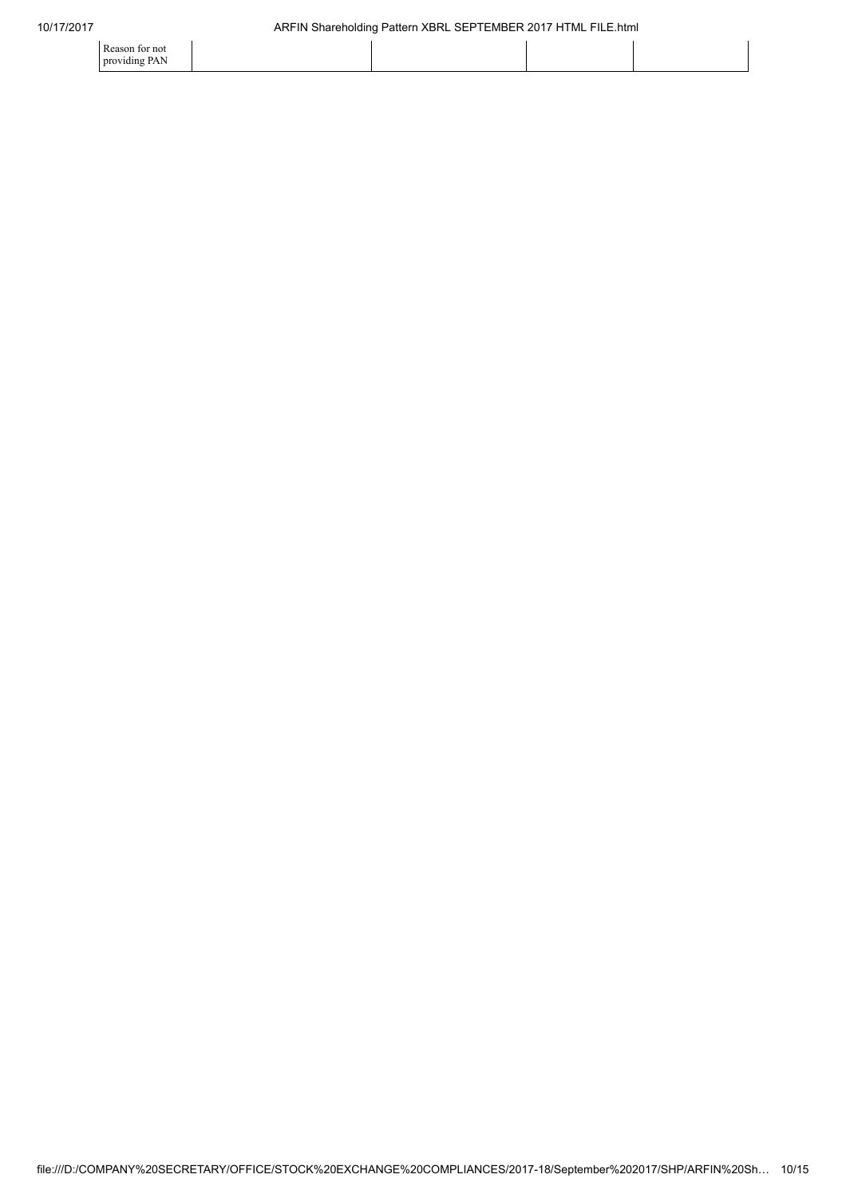| Reason for not |  |  |
|----------------|--|--|
| providing PAN  |  |  |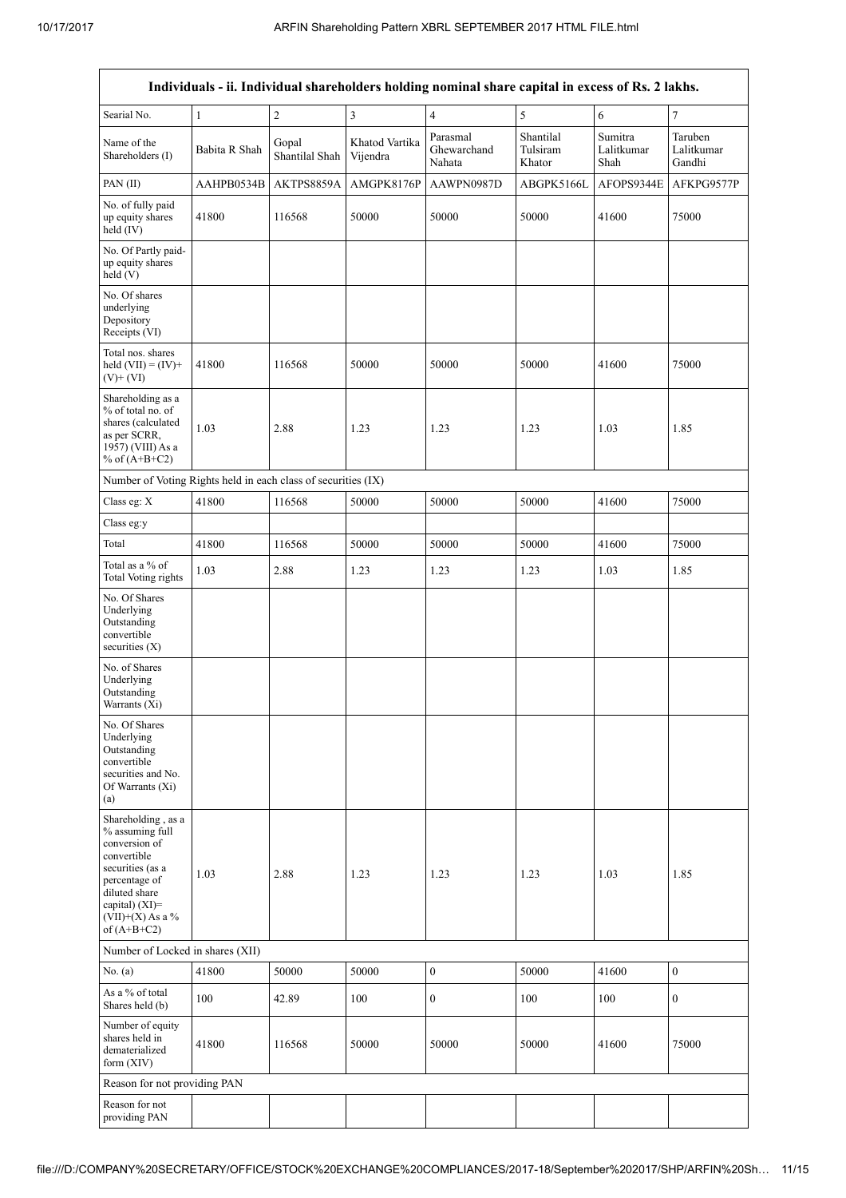|                                                                                                                                                                                         | Individuals - ii. Individual shareholders holding nominal share capital in excess of Rs. 2 lakhs. |                         |                            |                                   |                                 |                               |                                 |  |
|-----------------------------------------------------------------------------------------------------------------------------------------------------------------------------------------|---------------------------------------------------------------------------------------------------|-------------------------|----------------------------|-----------------------------------|---------------------------------|-------------------------------|---------------------------------|--|
| Searial No.                                                                                                                                                                             | $\mathbf{1}$                                                                                      | $\overline{2}$          | 3                          | $\overline{4}$                    | 5                               | 6                             | 7                               |  |
| Name of the<br>Shareholders (I)                                                                                                                                                         | Babita R Shah                                                                                     | Gopal<br>Shantilal Shah | Khatod Vartika<br>Vijendra | Parasmal<br>Ghewarchand<br>Nahata | Shantilal<br>Tulsiram<br>Khator | Sumitra<br>Lalitkumar<br>Shah | Taruben<br>Lalitkumar<br>Gandhi |  |
| PAN(II)                                                                                                                                                                                 | AAHPB0534B                                                                                        | AKTPS8859A              | AMGPK8176P                 | AAWPN0987D                        | ABGPK5166L                      | AFOPS9344E                    | AFKPG9577P                      |  |
| No. of fully paid<br>up equity shares<br>held (IV)                                                                                                                                      | 41800                                                                                             | 116568                  | 50000                      | 50000                             | 50000                           | 41600                         | 75000                           |  |
| No. Of Partly paid-<br>up equity shares<br>held (V)                                                                                                                                     |                                                                                                   |                         |                            |                                   |                                 |                               |                                 |  |
| No. Of shares<br>underlying<br>Depository<br>Receipts (VI)                                                                                                                              |                                                                                                   |                         |                            |                                   |                                 |                               |                                 |  |
| Total nos, shares<br>held $(VII) = (IV) +$<br>$(V)$ + (VI)                                                                                                                              | 41800                                                                                             | 116568                  | 50000                      | 50000                             | 50000                           | 41600                         | 75000                           |  |
| Shareholding as a<br>% of total no. of<br>shares (calculated<br>as per SCRR,<br>1957) (VIII) As a<br>% of $(A+B+C2)$                                                                    | 1.03                                                                                              | 2.88                    | 1.23                       | 1.23                              | 1.23                            | 1.03                          | 1.85                            |  |
| Number of Voting Rights held in each class of securities (IX)                                                                                                                           |                                                                                                   |                         |                            |                                   |                                 |                               |                                 |  |
| Class eg: X                                                                                                                                                                             | 41800                                                                                             | 116568                  | 50000                      | 50000                             | 50000                           | 41600                         | 75000                           |  |
| Class eg:y                                                                                                                                                                              |                                                                                                   |                         |                            |                                   |                                 |                               |                                 |  |
| Total                                                                                                                                                                                   | 41800                                                                                             | 116568                  | 50000                      | 50000                             | 50000                           | 41600                         | 75000                           |  |
| Total as a % of<br><b>Total Voting rights</b>                                                                                                                                           | 1.03                                                                                              | 2.88                    | 1.23                       | 1.23                              | 1.23                            | 1.03                          | 1.85                            |  |
| No. Of Shares<br>Underlying<br>Outstanding<br>convertible<br>securities $(X)$                                                                                                           |                                                                                                   |                         |                            |                                   |                                 |                               |                                 |  |
| No. of Shares<br>Underlying<br>Outstanding<br>Warrants (Xi)                                                                                                                             |                                                                                                   |                         |                            |                                   |                                 |                               |                                 |  |
| No. Of Shares<br>Underlying<br>Outstanding<br>convertible<br>securities and No.<br>Of Warrants (Xi)<br>(a)                                                                              |                                                                                                   |                         |                            |                                   |                                 |                               |                                 |  |
| Shareholding, as a<br>% assuming full<br>conversion of<br>convertible<br>securities (as a<br>percentage of<br>diluted share<br>capital) $(XI)$ =<br>$(VII)+(X)$ As a %<br>of $(A+B+C2)$ | 1.03                                                                                              | 2.88                    | 1.23                       | 1.23                              | 1.23                            | 1.03                          | 1.85                            |  |
| Number of Locked in shares (XII)                                                                                                                                                        |                                                                                                   |                         |                            |                                   |                                 |                               |                                 |  |
| No. (a)                                                                                                                                                                                 | 41800                                                                                             | 50000                   | 50000                      | $\boldsymbol{0}$                  | 50000                           | 41600                         | $\boldsymbol{0}$                |  |
| As a % of total<br>Shares held (b)                                                                                                                                                      | 100                                                                                               | 42.89                   | 100                        | $\boldsymbol{0}$                  | 100                             | 100                           | $\boldsymbol{0}$                |  |
| Number of equity<br>shares held in<br>dematerialized<br>form $(XIV)$                                                                                                                    | 41800                                                                                             | 116568                  | 50000                      | 50000                             | 50000                           | 41600                         | 75000                           |  |
| Reason for not providing PAN                                                                                                                                                            |                                                                                                   |                         |                            |                                   |                                 |                               |                                 |  |
| Reason for not<br>providing PAN                                                                                                                                                         |                                                                                                   |                         |                            |                                   |                                 |                               |                                 |  |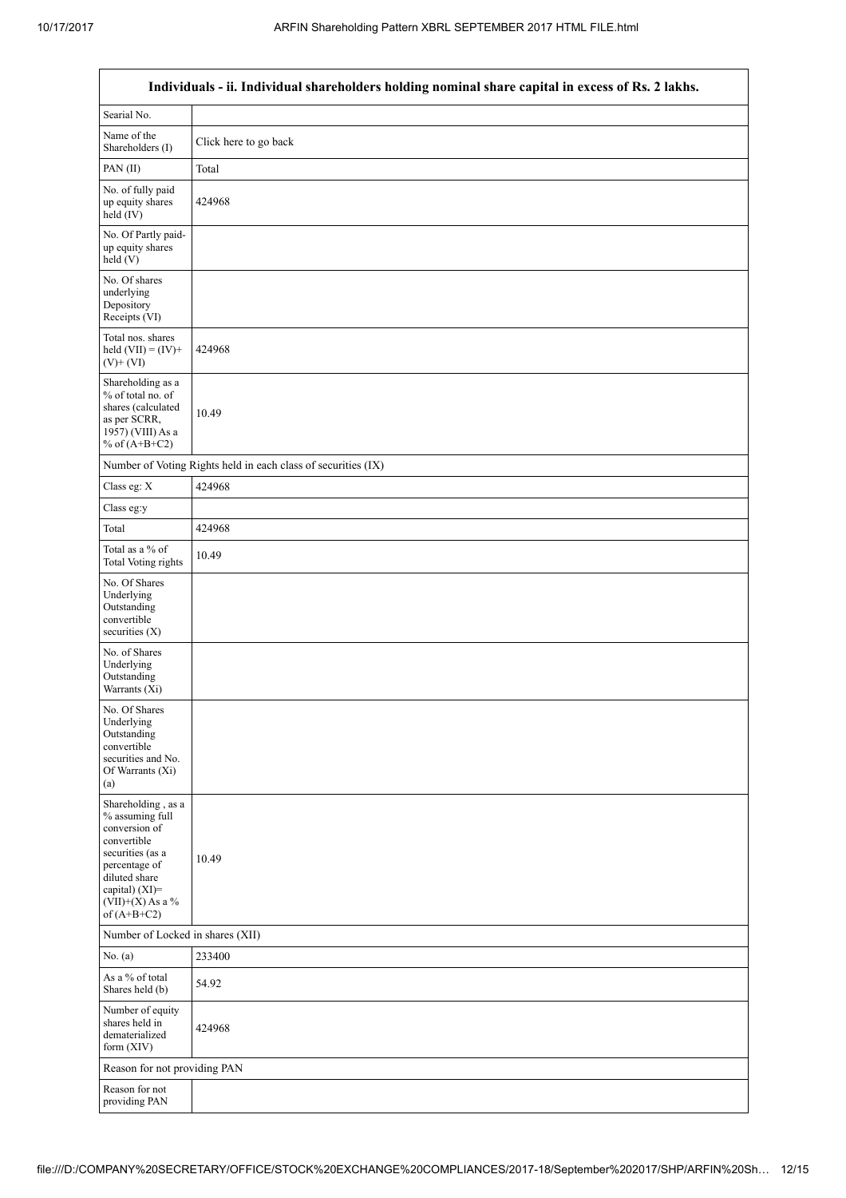|                                                                                                                                                                                      | Individuals - ii. Individual shareholders holding nominal share capital in excess of Rs. 2 lakhs. |
|--------------------------------------------------------------------------------------------------------------------------------------------------------------------------------------|---------------------------------------------------------------------------------------------------|
| Searial No.                                                                                                                                                                          |                                                                                                   |
| Name of the<br>Shareholders (I)                                                                                                                                                      | Click here to go back                                                                             |
| PAN(II)                                                                                                                                                                              | Total                                                                                             |
| No. of fully paid<br>up equity shares<br>held (IV)                                                                                                                                   | 424968                                                                                            |
| No. Of Partly paid-<br>up equity shares<br>held(V)                                                                                                                                   |                                                                                                   |
| No. Of shares<br>underlying<br>Depository<br>Receipts (VI)                                                                                                                           |                                                                                                   |
| Total nos. shares<br>held $(VII) = (IV) +$<br>$(V)$ + $(VI)$                                                                                                                         | 424968                                                                                            |
| Shareholding as a<br>% of total no. of<br>shares (calculated<br>as per SCRR,<br>1957) (VIII) As a<br>% of $(A+B+C2)$                                                                 | 10.49                                                                                             |
|                                                                                                                                                                                      | Number of Voting Rights held in each class of securities (IX)                                     |
| Class eg: $X$                                                                                                                                                                        | 424968                                                                                            |
| Class eg:y                                                                                                                                                                           |                                                                                                   |
| Total                                                                                                                                                                                | 424968                                                                                            |
| Total as a % of<br><b>Total Voting rights</b>                                                                                                                                        | 10.49                                                                                             |
| No. Of Shares<br>Underlying<br>Outstanding<br>convertible<br>securities (X)                                                                                                          |                                                                                                   |
| No. of Shares<br>Underlying<br>Outstanding<br>Warrants (Xi)                                                                                                                          |                                                                                                   |
| No. Of Shares<br>Underlying<br>Outstanding<br>convertible<br>securities and No.<br>Of Warrants (Xi)<br>(a)                                                                           |                                                                                                   |
| Shareholding, as a<br>% assuming full<br>conversion of<br>convertible<br>securities (as a<br>percentage of<br>diluted share<br>capital) (XI)=<br>$(VII)+(X)$ As a %<br>of $(A+B+C2)$ | 10.49                                                                                             |
| Number of Locked in shares (XII)                                                                                                                                                     |                                                                                                   |
| No. (a)                                                                                                                                                                              | 233400                                                                                            |
| As a % of total<br>Shares held (b)                                                                                                                                                   | 54.92                                                                                             |
| Number of equity<br>shares held in<br>dematerialized<br>form (XIV)                                                                                                                   | 424968                                                                                            |
| Reason for not providing PAN                                                                                                                                                         |                                                                                                   |
| Reason for not<br>providing PAN                                                                                                                                                      |                                                                                                   |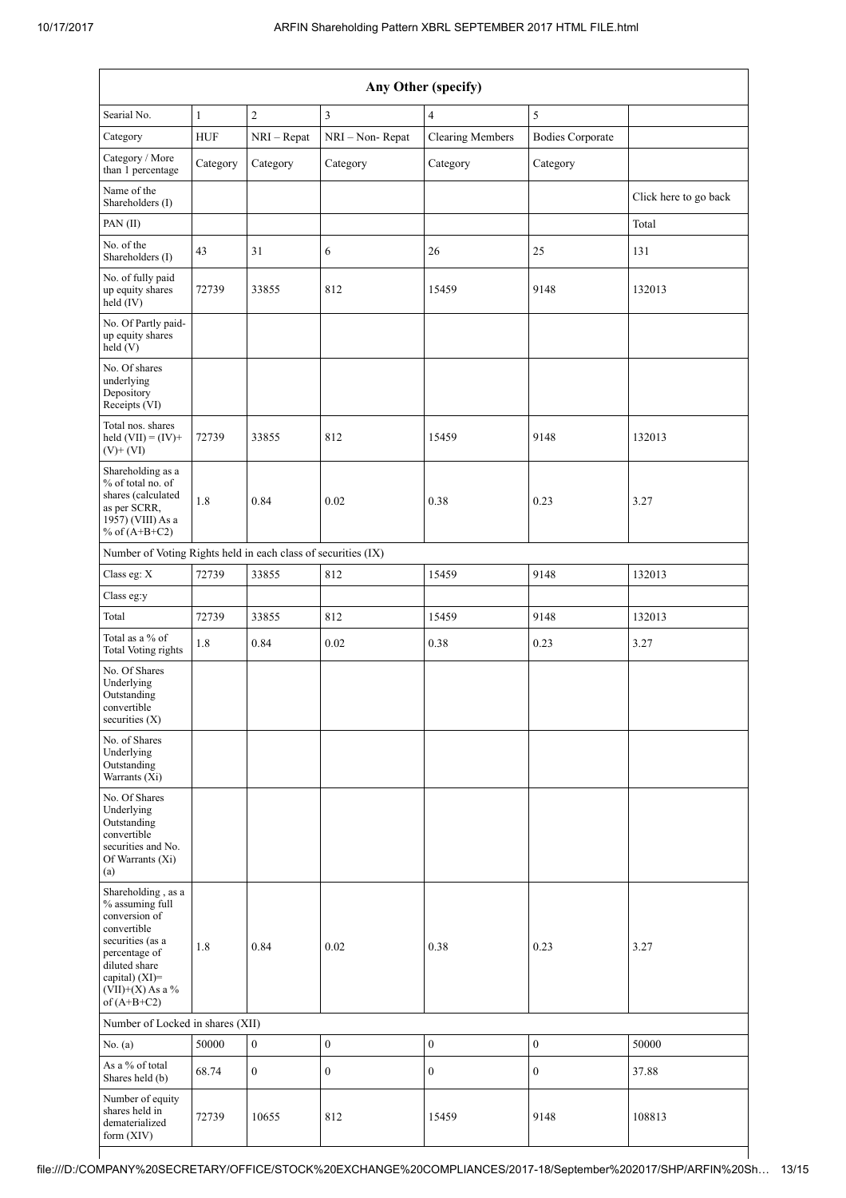| Any Other (specify)                                                                                                                                                                  |              |                  |                  |                         |                         |                       |  |  |  |
|--------------------------------------------------------------------------------------------------------------------------------------------------------------------------------------|--------------|------------------|------------------|-------------------------|-------------------------|-----------------------|--|--|--|
| Searial No.                                                                                                                                                                          | $\mathbf{1}$ | $\overline{c}$   | $\overline{3}$   | $\overline{4}$          | 5                       |                       |  |  |  |
| Category                                                                                                                                                                             | <b>HUF</b>   | $NRI - Repat$    | NRI-Non-Repat    | <b>Clearing Members</b> | <b>Bodies Corporate</b> |                       |  |  |  |
| Category / More<br>than 1 percentage                                                                                                                                                 | Category     | Category         | Category         | Category                | Category                |                       |  |  |  |
| Name of the<br>Shareholders (I)                                                                                                                                                      |              |                  |                  |                         |                         | Click here to go back |  |  |  |
| PAN(II)                                                                                                                                                                              |              |                  |                  |                         |                         | Total                 |  |  |  |
| No. of the<br>Shareholders (I)                                                                                                                                                       | 43           | 31               | 6                | 26                      | 25                      | 131                   |  |  |  |
| No. of fully paid<br>up equity shares<br>held (IV)                                                                                                                                   | 72739        | 33855            | 812              | 15459                   | 9148                    | 132013                |  |  |  |
| No. Of Partly paid-<br>up equity shares<br>held (V)                                                                                                                                  |              |                  |                  |                         |                         |                       |  |  |  |
| No. Of shares<br>underlying<br>Depository<br>Receipts (VI)                                                                                                                           |              |                  |                  |                         |                         |                       |  |  |  |
| Total nos. shares<br>held $(VII) = (IV) +$<br>$(V)$ + $(VI)$                                                                                                                         | 72739        | 33855            | 812              | 15459                   | 9148                    | 132013                |  |  |  |
| Shareholding as a<br>% of total no. of<br>shares (calculated<br>as per SCRR,<br>1957) (VIII) As a<br>% of $(A+B+C2)$                                                                 | 1.8          | 0.84             | 0.02             | 0.38                    | 0.23                    | 3.27                  |  |  |  |
| Number of Voting Rights held in each class of securities (IX)                                                                                                                        |              |                  |                  |                         |                         |                       |  |  |  |
| Class eg: X                                                                                                                                                                          | 72739        | 33855            | 812              | 15459                   | 9148                    | 132013                |  |  |  |
| Class eg:y                                                                                                                                                                           |              |                  |                  |                         |                         |                       |  |  |  |
| Total                                                                                                                                                                                | 72739        | 33855            | 812              | 15459                   | 9148                    | 132013                |  |  |  |
| Total as a % of<br><b>Total Voting rights</b>                                                                                                                                        | 1.8          | 0.84             | 0.02             | 0.38                    | 0.23                    | 3.27                  |  |  |  |
| No. Of Shares<br>Underlying<br>Outstanding<br>convertible<br>securities (X)                                                                                                          |              |                  |                  |                         |                         |                       |  |  |  |
| No. of Shares<br>Underlying<br>Outstanding<br>Warrants (Xi)                                                                                                                          |              |                  |                  |                         |                         |                       |  |  |  |
| No. Of Shares<br>Underlying<br>Outstanding<br>convertible<br>securities and No.<br>Of Warrants (Xi)<br>(a)                                                                           |              |                  |                  |                         |                         |                       |  |  |  |
| Shareholding, as a<br>% assuming full<br>conversion of<br>convertible<br>securities (as a<br>percentage of<br>diluted share<br>capital) (XI)=<br>$(VII)+(X)$ As a %<br>of $(A+B+C2)$ | 1.8          | 0.84             | 0.02             | 0.38                    | 0.23                    | 3.27                  |  |  |  |
| Number of Locked in shares (XII)                                                                                                                                                     |              |                  |                  |                         |                         |                       |  |  |  |
| No. (a)                                                                                                                                                                              | 50000        | $\boldsymbol{0}$ | $\boldsymbol{0}$ | $\boldsymbol{0}$        | $\boldsymbol{0}$        | 50000                 |  |  |  |
| As a % of total<br>Shares held (b)                                                                                                                                                   | 68.74        | $\boldsymbol{0}$ | $\boldsymbol{0}$ | $\boldsymbol{0}$        | $\boldsymbol{0}$        | 37.88                 |  |  |  |
| Number of equity<br>shares held in<br>dematerialized<br>form $(XIV)$                                                                                                                 | 72739        | 10655            | 812              | 15459                   | 9148                    | 108813                |  |  |  |